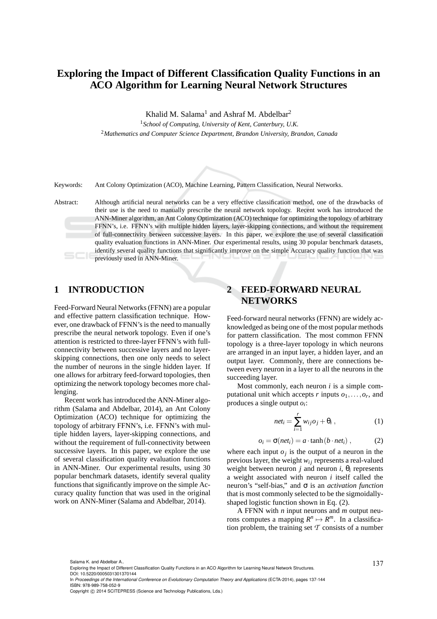# **Exploring the Impact of Different Classification Quality Functions in an ACO Algorithm for Learning Neural Network Structures**

Khalid M. Salama<sup>1</sup> and Ashraf M. Abdelbar<sup>2</sup>

<sup>1</sup>*School of Computing, University of Kent, Canterbury, U.K.* <sup>2</sup>*Mathematics and Computer Science Department, Brandon University, Brandon, Canada*

Keywords: Ant Colony Optimization (ACO), Machine Learning, Pattern Classification, Neural Networks.

Abstract: Although artificial neural networks can be a very effective classification method, one of the drawbacks of their use is the need to manually prescribe the neural network topology. Recent work has introduced the ANN-Miner algorithm, an Ant Colony Optimization (ACO) technique for optimizing the topology of arbitrary FFNN's, i.e. FFNN's with multiple hidden layers, layer-skipping connections, and without the requirement of full-connectivity between successive layers. In this paper, we explore the use of several classification quality evaluation functions in ANN-Miner. Our experimental results, using 30 popular benchmark datasets, identify several quality functions that significantly improve on the simple Accuracy quality function that was previously used in ANN-Miner.

### **1 INTRODUCTION**

Feed-Forward Neural Networks (FFNN) are a popular and effective pattern classification technique. However, one drawback of FFNN's is the need to manually prescribe the neural network topology. Even if one's attention is restricted to three-layer FFNN's with fullconnectivity between successive layers and no layerskipping connections, then one only needs to select the number of neurons in the single hidden layer. If one allows for arbitrary feed-forward topologies, then optimizing the network topology becomes more challenging.

Recent work has introduced the ANN-Miner algorithm (Salama and Abdelbar, 2014), an Ant Colony Optimization (ACO) technique for optimizing the topology of arbitrary FFNN's, i.e. FFNN's with multiple hidden layers, layer-skipping connections, and without the requirement of full-connectivity between successive layers. In this paper, we explore the use of several classification quality evaluation functions in ANN-Miner. Our experimental results, using 30 popular benchmark datasets, identify several quality functions that significantly improve on the simple Accuracy quality function that was used in the original work on ANN-Miner (Salama and Abdelbar, 2014).

# **2 FEED-FORWARD NEURAL NETWORKS**

Feed-forward neural networks (FFNN) are widely acknowledged as being one of the most popular methods for pattern classification. The most common FFNN topology is a three-layer topology in which neurons are arranged in an input layer, a hidden layer, and an output layer. Commonly, there are connections between every neuron in a layer to all the neurons in the succeeding layer.

Most commonly, each neuron *i* is a simple computational unit which accepts  $r$  inputs  $o_1, \ldots, o_r$ , and produces a single output *o<sup>i</sup>* :

$$
net_i = \sum_{i=1}^{r} w_{ij}o_j + \theta_i , \qquad (1)
$$

$$
o_i = \sigma(net_i) = a \cdot \tanh(b \cdot net_i), \qquad (2)
$$

where each input  $o_j$  is the output of a neuron in the previous layer, the weight  $w_{ij}$  represents a real-valued weight between neuron *j* and neuron *i*,  $\theta_i$  represents a weight associated with neuron *i* itself called the neuron's "self-bias," and σ is an *activation function* that is most commonly selected to be the sigmoidallyshaped logistic function shown in Eq. (2).

A FFNN with *n* input neurons and *m* output neurons computes a mapping  $R^n \mapsto R^m$ . In a classification problem, the training set  $\mathcal T$  consists of a number

<sup>137</sup> Salama K. and Abdelbar A.. Exploring the Impact of Different Classification Quality Functions in an ACO Algorithm for Learning Neural Network Structures. DOI: 10.5220/0005031301370144

In *Proceedings of the International Conference on Evolutionary Computation Theory and Applications* (ECTA-2014), pages 137-144 ISBN: 978-989-758-052-9

Copyright © 2014 SCITEPRESS (Science and Technology Publications, Lda.)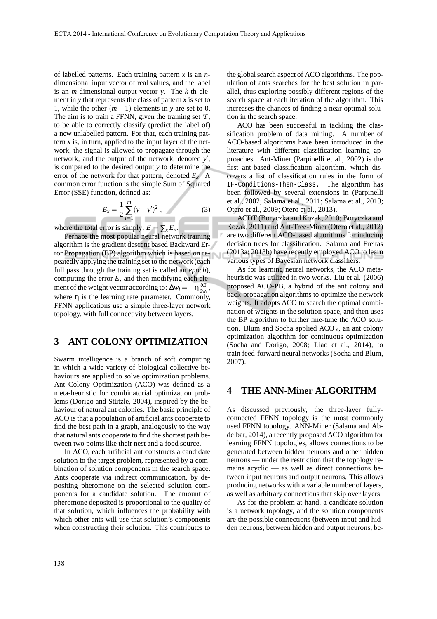of labelled patterns. Each training pattern *x* is an *n*dimensional input vector of real values, and the label is an *m*-dimensional output vector *y*. The *k*-th element in  $y$  that represents the class of pattern  $x$  is set to 1, while the other  $(m-1)$  elements in *y* are set to 0. The aim is to train a FFNN, given the training set  $\mathcal{T}$ , to be able to correctly classify (predict the label of) a new unlabelled pattern. For that, each training pattern  $\dot{x}$  is, in turn, applied to the input layer of the network, the signal is allowed to propagate through the network, and the output of the network, denoted y', is compared to the desired output *y* to determine the error of the network for that pattern, denoted *Ex*. A common error function is the simple Sum of Squared Error (SSE) function, defined as:

$$
E_x = \frac{1}{2} \sum_{i=1}^{m} (y - y')^2 , \qquad (3)
$$

where the total error is simply:  $E = \sum_{x} E_x$ .

Perhaps the most popular neural network training algorithm is the gradient descent based Backward Error Propagation (BP) algorithm which is based on repeatedly applying the training set to the network (each full pass through the training set is called an *epoch*), computing the error  $E$ , and then modifying each element of the weight vector according to:  $\Delta w_i = -\eta \frac{\partial E}{\partial w_i}$ , where  $\eta$  is the learning rate parameter. Commonly, FFNN applications use a simple three-layer network topology, with full connectivity between layers.

### **3 ANT COLONY OPTIMIZATION**

Swarm intelligence is a branch of soft computing in which a wide variety of biological collective behaviours are applied to solve optimization problems. Ant Colony Optimization (ACO) was defined as a meta-heuristic for combinatorial optimization problems (Dorigo and Stützle, 2004), inspired by the behaviour of natural ant colonies. The basic principle of ACO is that a population of artificial ants cooperate to find the best path in a graph, analogously to the way that natural ants cooperate to find the shortest path between two points like their nest and a food source.

In ACO, each artificial ant constructs a candidate solution to the target problem, represented by a combination of solution components in the search space. Ants cooperate via indirect communication, by depositing pheromone on the selected solution components for a candidate solution. The amount of pheromone deposited is proportional to the quality of that solution, which influences the probability with which other ants will use that solution's components when constructing their solution. This contributes to

the global search aspect of ACO algorithms. The population of ants searches for the best solution in parallel, thus exploring possibly different regions of the search space at each iteration of the algorithm. This increases the chances of finding a near-optimal solution in the search space.

ACO has been successful in tackling the classification problem of data mining. A number of ACO-based algorithms have been introduced in the literature with different classification learning approaches. Ant-Miner (Parpinelli et al., 2002) is the first ant-based classification algorithm, which discovers a list of classification rules in the form of IF-Conditions-Then-Class. The algorithm has been followed by several extensions in (Parpinelli et al., 2002; Salama et al., 2011; Salama et al., 2013; Otero et al., 2009; Otero et al., 2013).

ACDT (Boryczka and Kozak, 2010; Boryczka and Kozak, 2011) and Ant-Tree-Miner (Otero et al., 2012) are two different ACO-based algorithms for inducing decision trees for classification. Salama and Freitas (2013a; 2013b) have recently employed ACO to learn various types of Bayesian network classifiers.

As for learning neural networks, the ACO metaheuristic was utilized in two works. Liu et al. (2006) proposed ACO-PB, a hybrid of the ant colony and back-propagation algorithms to optimize the network weights. It adopts ACO to search the optimal combination of weights in the solution space, and then uses the BP algorithm to further fine-tune the ACO solution. Blum and Socha applied  $ACO_{\mathbb{R}}$ , an ant colony optimization algorithm for continuous optimization (Socha and Dorigo, 2008; Liao et al., 2014), to train feed-forward neural networks (Socha and Blum, 2007).

### **4 THE ANN-Miner ALGORITHM**

As discussed previously, the three-layer fullyconnected FFNN topology is the most commonly used FFNN topology. ANN-Miner (Salama and Abdelbar, 2014), a recently proposed ACO algorithm for learning FFNN topologies, allows connections to be generated between hidden neurons and other hidden neurons — under the restriction that the topology remains acyclic — as well as direct connections between input neurons and output neurons. This allows producing networks with a variable number of layers, as well as arbitrary connections that skip over layers.

As for the problem at hand, a candidate solution is a network topology, and the solution components are the possible connections (between input and hidden neurons, between hidden and output neurons, be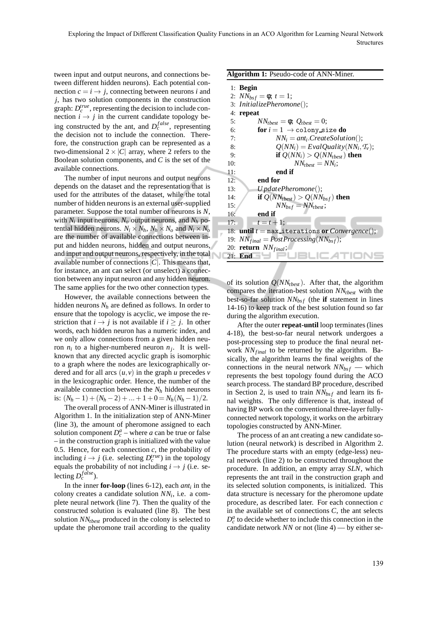tween input and output neurons, and connections between different hidden neurons). Each potential connection  $c = i \rightarrow j$ , connecting between neurons *i* and *j*, has two solution components in the construction graph:  $D_c^{true}$ , representing the decision to include connection  $i \rightarrow j$  in the current candidate topology being constructed by the ant, and  $D_c^{false}$ , representing the decision not to include the connection. Therefore, the construction graph can be represented as a two-dimensional  $2 \times |C|$  array, where 2 refers to the Boolean solution components, and *C* is the set of the available connections.

The number of input neurons and output neurons depends on the dataset and the representation that is used for the attributes of the dataset, while the total number of hidden neurons is an external user-supplied parameter. Suppose the total number of neurons is *N*, with  $N_i$  input neurons,  $N_o$  output neurons, and  $N_h$  potential hidden neurons.  $N_i \times N_h$ ,  $N_h \times N_o$  and  $N_i \times N_o$ are the number of available connections between input and hidden neurons, hidden and output neurons, and input and output neurons, respectively, in the total available number of connections|*C*|. This means that, for instance, an ant can select (or unselect) a connection between any input neuron and any hidden neuron. The same applies for the two other connection types.

However, the available connections between the hidden neurons  $N_h$  are defined as follows. In order to ensure that the topology is acyclic, we impose the restriction that  $i \rightarrow j$  is not available if  $i \geq j$ . In other words, each hidden neuron has a numeric index, and we only allow connections from a given hidden neuron  $n_i$  to a higher-numbered neuron  $n_j$ . It is wellknown that any directed acyclic graph is isomorphic to a graph where the nodes are lexicographically ordered and for all arcs  $(u, v)$  in the graph  $u$  precedes  $v$ in the lexicographic order. Hence, the number of the available connection between the *N<sup>h</sup>* hidden neurons is:  $(N_h - 1) + (N_h - 2) + ... + 1 + 0 = N_h(N_h - 1)/2$ .

The overall process of ANN-Miner is illustrated in Algorithm 1. In the initialization step of ANN-Miner (line 3), the amount of pheromone assigned to each solution component  $D_c^a$  – where *a* can be true or false – in the construction graph is initialized with the value 0.5. Hence, for each connection  $c$ , the probability of including  $i \rightarrow j$  (i.e. selecting  $D_c^{true}$ ) in the topology equals the probability of not including  $i \rightarrow j$  (i.e. selecting  $D_c^{false}$ ).

In the inner **for-loop** (lines 6-12), each *ant<sup>i</sup>* in the colony creates a candidate solution *NN<sup>i</sup>* , i.e. a complete neural network (line 7). Then the quality of the constructed solution is evaluated (line 8). The best solution *NNtbest* produced in the colony is selected to update the pheromone trail according to the quality

#### **Algorithm 1:** Pseudo-code of ANN-Miner.

|     | $1:$ Begin                                              |
|-----|---------------------------------------------------------|
|     | 2: $NN_{bsf} = \phi$ ; $t = 1$ ;                        |
|     | 3: InitializePheromone();                               |
| 4:  | repeat                                                  |
| 5:  | $NN_{thest} = \phi$ ; $Q_{thest} = 0$ ;                 |
| 6:  | for $i = 1 \rightarrow$ colony size do                  |
| 7:  | $NN_i = ant_i.CreateSolution$ ;                         |
| 8:  | $Q(NN_i) = EvaluateQuality(NN_i, T_v);$                 |
| 9:  | if $Q(NN_i) > Q(NN_{thest})$ then                       |
| 10: | $NN_{thest} = NN_i$ :                                   |
| 11: | end if                                                  |
| 12: | end for                                                 |
| 13: | $U$ pdatePheromone();                                   |
| 14: | if $Q(NN_{tbest}) > Q(NN_{bsf})$ then                   |
| 15: | $NN_{bsf} = NN_{tbest}$ ;                               |
| 16: | end if                                                  |
| 17: | $t = t + 1$ :                                           |
|     | 18: <b>until</b> $t = max\_iterations or Convergence$ ; |
|     | 19: $NN_{final} = PostProcessing(NN_{bsf});$            |
|     | 20: <b>return</b> $NN_{final}$ ;                        |
| 21: | End                                                     |

of its solution *Q*(*NNtbest*). After that, the algorithm compares the iteration-best solution *NNtbest* with the best-so-far solution  $NN_{bsf}$  (the **if** statement in lines 14-16) to keep track of the best solution found so far during the algorithm execution.

After the outer **repeat-until** loop terminates (lines 4-18), the best-so-far neural network undergoes a post-processing step to produce the final neural network *NN*<sub>final</sub> to be returned by the algorithm. Basically, the algorithm learns the final weights of the connections in the neural network  $NN_{bsf}$  — which represents the best topology found during the ACO search process. The standard BP procedure, described in Section 2, is used to train *NNbs f* and learn its final weights. The only difference is that, instead of having BP work on the conventional three-layer fullyconnected network topology, it works on the arbitrary topologies constructed by ANN-Miner.

The process of an ant creating a new candidate solution (neural network) is described in Algorithm 2. The procedure starts with an empty (edge-less) neural network (line 2) to be constructed throughout the procedure. In addition, an empty array *SLN*, which represents the ant trail in the construction graph and its selected solution components, is initialized. This data structure is necessary for the pheromone update procedure, as described later. For each connection *c* in the available set of connections *C*, the ant selects  $D_c^a$  to decide whether to include this connection in the candidate network *NN* or not (line 4) — by either se-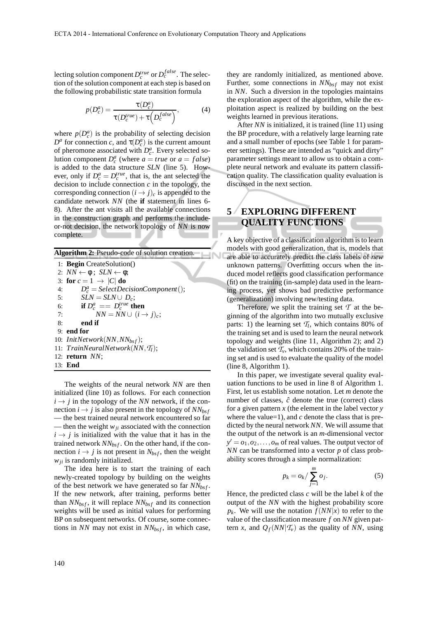lecting solution component  $D_c^{true}$  or  $D_c^{false}$ . The selection of the solution component at each step is based on the following probabilistic state transition formula

$$
p(D_c^a) = \frac{\tau(D_c^a)}{\tau(D_c^{true}) + \tau(D_c^{false})},
$$
\n(4)

where  $p(D_c^a)$  is the probability of selecting decision  $D^a$  for connection *c*, and  $\tau(D_c^a)$  is the current amount of pheromone associated with  $D_c^a$ . Every selected solution component  $D_c^a$  (where  $a = true$  or  $a = false$ ) is added to the data structure *SLN* (line 5). However, only if  $D_c^a = D_c^{true}$ , that is, the ant selected the decision to include connection  $c$  in the topology, the corresponding connection  $(i \rightarrow j)_c$  is appended to the candidate network *NN* (the **if** statement in lines 6- 8). After the ant visits all the available connections in the construction graph and performs the includeor-not decision, the network topology of *NN* is now complete.

**Algorithm 2:** Pseudo-code of solution creation.

1: **Begin** CreateSolution() 2:  $NN \leftarrow \phi$ ;  $SLN \leftarrow \phi$ ; 3: **for**  $c = 1 \rightarrow |C|$  **do** 4:  $D_c^a = SelectDecisionComponent();$ 5:  $SLN = SLN \cup D_c;$ 6: **if**  $D_c^a = D_c^{true}$  then 7:  $NN = NN \cup (i \rightarrow j)_c$ ; 8: **end if** 9: **end for** 10: *InitNetwork*(*NN*,*NNbs f*); 11: *TrainNeuralNetwork*(*NN*,*Tl*); 12: **return** *NN*; 13: **End**

The weights of the neural network *NN* are then initialized (line 10) as follows. For each connection  $i \rightarrow j$  in the topology of the *NN* network, if the connection  $i \rightarrow j$  is also present in the topology of  $NN_{bsf}$ — the best trained neural network encountered so far — then the weight  $w_{ji}$  associated with the connection  $i \rightarrow j$  is initialized with the value that it has in the trained network  $NN_{bsf}$ . On the other hand, if the connection  $i \rightarrow j$  is not present in  $N_{bsf}$ , then the weight *wji* is randomly initialized.

The idea here is to start the training of each newly-created topology by building on the weights of the best network we have generated so far *NNbs f* . If the new network, after training, performs better than  $NN_{bsf}$ , it will replace  $NN_{bsf}$  and its connection weights will be used as initial values for performing BP on subsequent networks. Of course, some connections in *NN* may not exist in  $NN_{bsf}$ , in which case, they are randomly initialized, as mentioned above. Further, some connections in  $NN_{bsf}$  may not exist in *NN*. Such a diversion in the topologies maintains the exploration aspect of the algorithm, while the exploitation aspect is realized by building on the best weights learned in previous iterations.

After *NN* is initialized, it is trained (line 11) using the BP procedure, with a relatively large learning rate and a small number of epochs (see Table 1 for parameter settings). These are intended as "quick and dirty" parameter settings meant to allow us to obtain a complete neural network and evaluate its pattern classification quality. The classification quality evaluation is discussed in the next section.

# **5 EXPLORING DIFFERENT QUALITY FUNCTIONS**

A key objective of a classification algorithm is to learn models with good generalization, that is, models that are able to accurately predict the class labels of *new* unknown patterns. Overfitting occurs when the induced model reflects good classification performance (fit) on the training (in-sample) data used in the learning process, yet shows bad predictive performance (generalization) involving new/testing data.

Therefore, we split the training set  $\mathcal T$  at the beginning of the algorithm into two mutually exclusive parts: 1) the learning set  $T_l$ , which contains 80% of the training set and is used to learn the neural network topology and weights (line 11, Algorithm 2); and 2) the validation set  $\mathcal{T}_{\nu}$ , which contains 20% of the training set and is used to evaluate the quality of the model (line 8, Algorithm 1).

In this paper, we investigate several quality evaluation functions to be used in line 8 of Algorithm 1. First, let us establish some notation. Let *m* denote the number of classes,  $\hat{c}$  denote the true (correct) class for a given pattern *x* (the element in the label vector *y* where the value=1), and  $c$  denote the class that is predicted by the neural network *NN*. We will assume that the output of the network is an *m*-dimensional vector  $y' = o_1, o_2, \ldots, o_m$  of real values. The output vector of *NN* can be transformed into a vector *p* of class probability scores through a simple normalization:

$$
p_k = o_k / \sum_{j=1}^m o_j.
$$
 (5)

Hence, the predicted class *c* will be the label *k* of the output of the *NN* with the highest probability score  $p_k$ . We will use the notation  $f(NN|x)$  to refer to the value of the classification measure *f* on *NN* given pattern *x*, and  $Q_f(NN|\mathcal{T}_v)$  as the quality of *NN*, using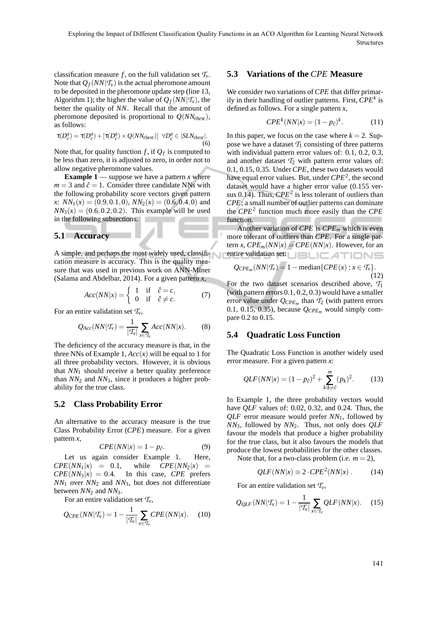classification measure *f*, on the full validation set  $\mathcal{T}_{v}$ . Note that  $Q_f(NN|\mathcal{T}_v)$  is the actual pheromone amount to be deposited in the pheromone update step (line 13, Algorithm 1); the higher the value of  $Q_f(NN|\mathcal{T}_v)$ , the better the quality of *NN*. Recall that the amount of pheromone deposited is proportional to  $Q(NN_{tbest})$ , as follows:

$$
\tau(D_c^a) = \tau(D_c^a) + [\tau(D_c^a) \times Q(NN_{best})] \quad \forall D_c^a \in |SLN_{best}|.
$$
\n(6)

Note that, for quality function  $f$ , if  $Q_f$  is computed to be less than zero, it is adjusted to zero, in order not to allow negative pheromone values.

**Example 1** — suppose we have a pattern *x* where  $m = 3$  and  $\hat{c} = 1$ . Consider three candidate NNs with the following probability score vectors given pattern *x*:  $NN_1(x) = (0.9, 0.1, 0), NN_2(x) = (0.6, 0.4, 0)$  and  $NN_3(x) = (0.6, 0.2, 0.2)$ . This example will be used in the following subsections.

#### **5.1 Accuracy**

A simple, and perhaps the most widely used, classification measure is accuracy. This is the quality measure that was used in previous work on ANN-Miner (Salama and Abdelbar, 2014). For a given pattern *x*,

$$
Acc(NN|x) = \begin{cases} 1 & \text{if } \hat{c} = c, \\ 0 & \text{if } \hat{c} \neq c. \end{cases}
$$
 (7)

For an entire validation set *Tv*,

$$
Q_{Acc}(NN|\mathcal{T}_v) = \frac{1}{|\mathcal{T}_v|} \sum_{x \in \mathcal{T}_v} Acc(NN|x). \tag{8}
$$

The deficiency of the accuracy measure is that, in the three NNs of Example 1,  $Acc(x)$  will be equal to 1 for all three probability vectors. However, it is obvious that *NN*<sup>1</sup> should receive a better quality preference than *NN*<sup>2</sup> and *NN*3, since it produces a higher probability for the true class.

#### **5.2 Class Probability Error**

An alternative to the accuracy measure is the true Class Probability Error (*CPE*) measure. For a given pattern *x*,

$$
CPE(NN|x) = 1 - p_{\hat{c}}.\t\t(9)
$$

Let us again consider Example 1. Here,  $CPE(NN_1|x) = 0.1$ , while  $CPE(NN_2|x) =$  $CPE(NN_3|x) = 0.4$ . In this case, *CPE* prefers *NN*<sup>1</sup> over *NN*<sup>2</sup> and *NN*3, but does not differentiate between *NN*<sup>2</sup> and *NN*3.

For an entire validation set  $\mathcal{T}_{v}$ ,

$$
Q_{CPE}(NN|\mathcal{T}_v) = 1 - \frac{1}{|\mathcal{T}_v|} \sum_{x \in \mathcal{T}_v} CPE(NN|x). \tag{10}
$$

#### **5.3 Variations of the** *CPE* **Measure**

We consider two variations of *CPE* that differ primarily in their handling of outlier patterns. First, *CPE<sup>k</sup>* is defined as follows. For a single pattern *x*,

$$
CPEk(NN|x) = (1 - p\hat{c)k.
$$
 (11)

In this paper, we focus on the case where  $k = 2$ . Suppose we have a dataset  $T_1$  consisting of three patterns with individual pattern error values of: 0.1, 0.2, 0.3, and another dataset  $\mathcal{T}_2$  with pattern error values of: 0.1, 0.15, 0.35. Under *CPE*, these two datasets would have equal error values. But, under *CPE*<sup>2</sup> , the second dataset would have a higher error value (0.155 versus  $0.14$ ). Thus,  $CPE<sup>2</sup>$  is less tolerant of outliers than *CPE*; a small number of outlier patterns can dominate the *CPE*<sup>2</sup> function much more easily than the *CPE* function.

Another variation of *CPE* is *CPE<sup>m</sup>* which is even more tolerant of outliers than *CPE*. For a single pattern *x*,  $CPE_m(NN|x) = CPE(NN|x)$ . However, for an entire validation set: **NEXTIONS** 

$$
Q_{CPE_m}(NN|\mathcal{T}_v) = 1 - \text{median}\{CPE(x) : x \in \mathcal{T}_v\}.
$$
\n(12)

For the two dataset scenarios described above,  $T_1$ (with pattern errors 0.1, 0.2, 0.3) would have a smaller error value under  $Q_{CPE_m}$  than  $T_2$  (with pattern errors 0.1, 0.15, 0.35), because  $Q_{CPE_m}$  would simply compare 0.2 to 0.15.

#### **5.4 Quadratic Loss Function**

The Quadratic Loss Function is another widely used error measure. For a given pattern *x*:

$$
QLF(NN|x) = (1 - p_{\hat{c}})^2 + \sum_{k:k \neq \hat{c}}^{m} (p_k)^2.
$$
 (13)

In Example 1, the three probability vectors would have *QLF* values of: 0.02, 0.32, and 0.24. Thus, the *QLF* error measure would prefer *NN*1, followed by *NN*3, followed by *NN*2. Thus, not only does *QLF* favour the models that produce a higher probability for the true class, but it also favours the models that produce the lowest probabilities for the other classes.

Note that, for a two-class problem (i.e.  $m = 2$ ),

$$
QLF(NN|x) \equiv 2 \cdot CPE^2(NN|x) . \tag{14}
$$

For an entire validation set  $\mathcal{T}_{v}$ ,

$$
Q_{QLF}(NN|\mathcal{T}_v) = 1 - \frac{1}{|\mathcal{T}_v|} \sum_{x \in \mathcal{T}_v} QLF(NN|x). \quad (15)
$$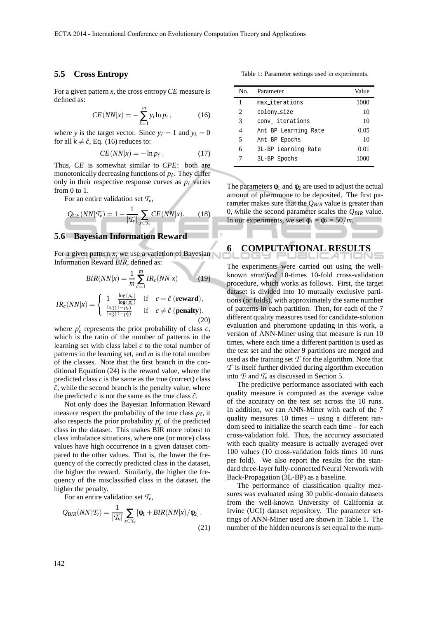#### **5.5 Cross Entropy**

For a given pattern *x*, the cross entropy*CE* measure is defined as:

$$
CE(NN|x) = -\sum_{k=1}^{m} y_i \ln p_i , \qquad (16)
$$

where *y* is the target vector. Since  $y_{\hat{c}} = 1$  and  $y_k = 0$ for all  $k \neq \hat{c}$ , Eq. (16) reduces to:

$$
CE(NN|x) = -\ln p_{\hat{c}}.
$$
 (17)

Thus, *CE* is somewhat similar to *CPE*: both are monotonically decreasing functions of  $p_{\hat{c}}$ . They differ only in their respective response curves as  $p_{\hat{c}}$  varies from 0 to 1.

For an entire validation set  $T_v$ ,

$$
Q_{CE}(NN|\mathcal{T}_v) = 1 - \frac{1}{|\mathcal{T}_v|} \sum_{x \in \mathcal{T}_v} CE(NN|x). \tag{18}
$$

### **5.6 Bayesian Information Reward**

For a given pattern  $x$ , we use a variation of Bayesian Information Reward *BIR*, defined as:

$$
BIR(NN|x) = \frac{1}{m} \sum_{c=1}^{m} IR_c(NN|x)
$$
(19)  

$$
IR_c(NN|x) = \begin{cases} 1 - \frac{\log(p_c)}{\log(p_c')} & \text{if } c = \hat{c} \text{ (reward)},\\ \frac{\log(1-p_c)}{\log(1-p_c')} & \text{if } c \neq \hat{c} \text{ (penalty)}. \end{cases}
$$
(20)

where  $p'_c$  represents the prior probability of class  $c$ , which is the ratio of the number of patterns in the learning set with class label *c* to the total number of patterns in the learning set, and *m* is the total number of the classes. Note that the first branch in the conditional Equation (24) is the reward value, where the predicted class *c* is the same as the true (correct) class  $\hat{c}$ , while the second branch is the penalty value, where the predicted  $c$  is not the same as the true class  $\hat{c}$ .

Not only does the Bayesian Information Reward measure respect the probability of the true class  $p_{\hat{c}}$ , it also respects the prior probability  $p'_c$  of the predicted class in the dataset. This makes BIR more robust to class imbalance situations, where one (or more) class values have high occurrence in a given dataset compared to the other values. That is, the lower the frequency of the correctly predicted class in the dataset, the higher the reward. Similarly, the higher the frequency of the misclassified class in the dataset, the higher the penalty.

For an entire validation set  $T_v$ ,

$$
Q_{BIR}(NN|\mathcal{T}_v) = \frac{1}{|\mathcal{T}_v|} \sum_{x \in \mathcal{T}_v} \left[ \phi_1 + BIR(NN|x) / \phi_2 \right].
$$
\n(21)

Table 1: Parameter settings used in experiments.

| No. | Parameter            | Value |
|-----|----------------------|-------|
| 1   | max_iterations       | 1000  |
| 2   | colony_size          | 10    |
| 3   | conv iterations      | 10    |
| 4   | Ant BP Learning Rate | 0.05  |
| 5   | Ant BP Epochs        | 10    |
| 6   | 3L-BP Learning Rate  | 0.01  |
|     | 3L-BP Epochs         | 1000  |

The parameters  $\phi_1$  and  $\phi_2$  are used to adjust the actual amount of pheromone to be deposited. The first parameter makes sure that the *QBIR* value is greater than 0, while the second parameter scales the *QBIR* value. In our experiments, we set  $\phi_1 = \phi_2 = 50/m$ .

# **6 COMPUTATIONAL RESULTS**

The experiments were carried out using the wellknown *stratified* 10-times 10-fold cross-validation procedure, which works as follows. First, the target dataset is divided into 10 mutually exclusive partitions (or folds), with approximately the same number of patterns in each partition. Then, for each of the 7 different quality measures used for candidate-solution evaluation and pheromone updating in this work, a version of ANN-Miner using that measure is run 10 times, where each time a different partition is used as the test set and the other 9 partitions are merged and used as the training set  $\mathcal T$  for the algorithm. Note that *T* is itself further divided during algorithm execution into  $T_l$  and  $T_v$  as discussed in Section 5.

The predictive performance associated with each quality measure is computed as the average value of the accuracy on the test set across the 10 runs. In addition, we ran ANN-Miner with each of the 7 quality measures 10 times – using a different random seed to initialize the search each time – for each cross-validation fold. Thus, the accuracy associated with each quality measure is actually averaged over 100 values (10 cross-validation folds times 10 runs per fold). We also report the results for the standard three-layer fully-connected Neural Network with Back-Propagation (3L-BP) as a baseline.

The performance of classification quality measures was evaluated using 30 public-domain datasets from the well-known University of California at Irvine (UCI) dataset repository. The parameter settings of ANN-Miner used are shown in Table 1. The number of the hidden neurons is set equal to the num-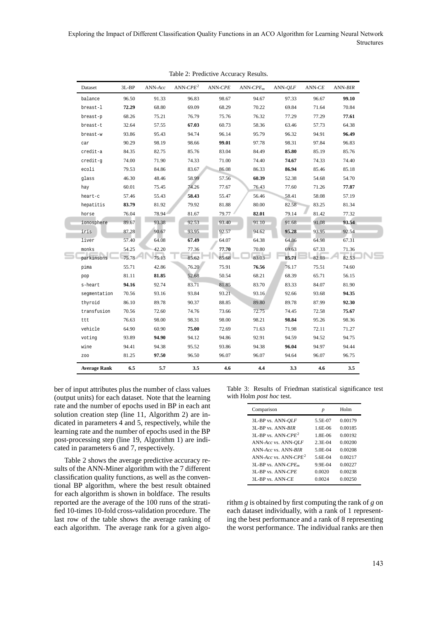| Dataset             | $3L-BP$ | ANN-Acc | ANN- $CPE2$ | $ANN-CPE$ | $ANN-CPEm$ | ANN- <i>QLF</i> | $ANN-CE$ | ANN-BIR |
|---------------------|---------|---------|-------------|-----------|------------|-----------------|----------|---------|
| balance             | 96.50   | 91.33   | 96.83       | 98.67     | 94.67      | 97.33           | 96.67    | 99.10   |
| breast-1            | 72.29   | 68.80   | 69.09       | 68.29     | 70.22      | 69.84           | 71.64    | 70.84   |
| breast-p            | 68.26   | 75.21   | 76.79       | 75.76     | 76.32      | 77.29           | 77.29    | 77.61   |
| breast-t            | 32.64   | 57.55   | 67.03       | 60.73     | 58.36      | 63.46           | 57.73    | 64.38   |
| breast-w            | 93.86   | 95.43   | 94.74       | 96.14     | 95.79      | 96.32           | 94.91    | 96.49   |
| car                 | 90.29   | 98.19   | 98.66       | 99.01     | 97.78      | 98.31           | 97.84    | 96.83   |
| credit-a            | 84.35   | 82.75   | 85.76       | 83.04     | 84.49      | 85.80           | 85.19    | 85.76   |
| credit-q            | 74.00   | 71.90   | 74.33       | 71.00     | 74.40      | 74.67           | 74.33    | 74.40   |
| ecoli               | 79.53   | 84.86   | 83.67       | 86.08     | 86.33      | 86.94           | 85.46    | 85.18   |
| glass               | 46.30   | 48.46   | 58.99       | 57.56     | 60.39      | 52.38           | 54.68    | 54.70   |
| hay                 | 60.01   | 75.45   | 74.26       | 77.67     | 76.43      | 77.60           | 71.26    | 77.87   |
| heart-c             | 57.46   | 55.43   | 58.43       | 55.47     | 56.46      | 58.41           | 58.08    | 57.19   |
| hepatitis           | 83.79   | 81.92   | 79.92       | 81.88     | 80.00      | 82.58           | 83.25    | 81.34   |
| horse               | 76.04   | 78.94   | 81.67       | 79.77     | 82.01      | 79.14           | 81.42    | 77.32   |
| ionosphere          | 89.67   | 93.38   | 92.53       | 93.40     | 91.10      | 91.68           | 91.08    | 93.54   |
| iris                | 87.28   | 90.67   | 93.95       | 92.57     | 94.62      | 95.28           | 93.95    | 92.54   |
| liver               | 57.40   | 64.08   | 67.49       | 64.07     | 64.38      | 64.86           | 64.98    | 67.31   |
| monks               | 54.25   | 42.20   | 77.36       | 77.70     | 70.80      | 69.63           | 67.33    | 71.36   |
| parkinsons          | 75.78   | 75.13   | 85.62       | 85.68     | 83.03      | 85.71           | 82.03    | 82.53   |
| pima                | 55.71   | 42.86   | 76.20       | 75.91     | 76.56      | 76.17           | 75.51    | 74.60   |
| pop                 | 81.11   | 81.85   | 52.68       | 50.54     | 68.21      | 68.39           | 65.71    | 56.15   |
| s-heart             | 94.16   | 92.74   | 83.71       | 81.85     | 83.70      | 83.33           | 84.07    | 81.90   |
| segmentation        | 70.56   | 93.16   | 93.84       | 93.21     | 93.16      | 92.66           | 93.68    | 94.35   |
| thyroid             | 86.10   | 89.78   | 90.37       | 88.85     | 89.80      | 89.78           | 87.99    | 92.30   |
| transfusion         | 70.56   | 72.60   | 74.76       | 73.66     | 72.75      | 74.45           | 72.58    | 75.67   |
| ttt                 | 76.63   | 98.00   | 98.31       | 98.00     | 98.21      | 98.84           | 95.26    | 98.36   |
| vehicle             | 64.90   | 60.90   | 75.00       | 72.69     | 71.63      | 71.98           | 72.11    | 71.27   |
| voting              | 93.89   | 94.90   | 94.12       | 94.86     | 92.91      | 94.59           | 94.52    | 94.75   |
| wine                | 94.41   | 94.38   | 95.52       | 93.86     | 94.38      | 96.04           | 94.97    | 94.44   |
| <b>ZOO</b>          | 81.25   | 97.50   | 96.50       | 96.07     | 96.07      | 94.64           | 96.07    | 96.75   |
| <b>Average Rank</b> | 6.5     | 5.7     | 3.5         | 4.6       | 4.4        | 3.3             | 4.6      | 3.5     |

Table 2: Predictive Accuracy Results.

ber of input attributes plus the number of class values (output units) for each dataset. Note that the learning rate and the number of epochs used in BP in each ant solution creation step (line 11, Algorithm 2) are indicated in parameters 4 and 5, respectively, while the learning rate and the number of epochs used in the BP post-processing step (line 19, Algorithm 1) are indicated in parameters 6 and 7, respectively.

Table 2 shows the average predictive accuracy results of the ANN-Miner algorithm with the 7 different classification quality functions, as well as the conventional BP algorithm, where the best result obtained for each algorithm is shown in boldface. The results reported are the average of the 100 runs of the stratified 10-times 10-fold cross-validation procedure. The last row of the table shows the average ranking of each algorithm. The average rank for a given algo-

Table 3: Results of Friedman statistical significance test with Holm *post hoc* test.

| Comparison                     | p           | Holm    |
|--------------------------------|-------------|---------|
| 3L-BP vs. ANN-OLF              | 5.5E-07     | 0.00179 |
| $3I$ -BP vs $ANN-RIR$          | $1.6E-06$   | 0.00185 |
| 3L-BP vs. $ANN-CPE2$           | 1 8E-06     | 0.00192 |
| ANN-Acc vs. ANN-OLF            | $2.3E - 04$ | 0.00200 |
| ANN-Acc vs. ANN-RIR            | 5 OE-04     | 0.00208 |
| ANN-Acc vs. ANN-CP $E^2$       | 5 6E-04     | 0.00217 |
| 3L-BP vs. $\triangle NN-CPE_m$ | $9.9E-04$   | 0.00227 |
| $3I$ -BP vs $ANN-CPE$          | 0.0020      | 0.00238 |
| $3I$ -RP vs $\quad$ ANN-CE     | 0.0024      | 0.00250 |
|                                |             |         |

rithm *g* is obtained by first computing the rank of *g* on each dataset individually, with a rank of 1 representing the best performance and a rank of 8 representing the worst performance. The individual ranks are then